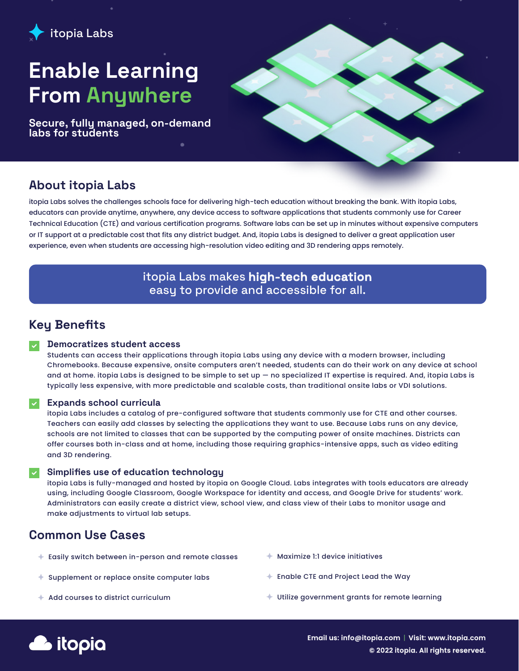

# Enable Learning From Anywhere

Secure, fully managed, on-demand labs for students



## About itopia Labs

itopia Labs solves the challenges schools face for delivering high-tech education without breaking the bank. With itopia Labs, educators can provide anytime, anywhere, any device access to software applications that students commonly use for Career Technical Education (CTE) and various certification programs. Software labs can be set up in minutes without expensive computers or IT support at a predictable cost that fits any district budget. And, itopia Labs is designed to deliver a great application user experience, even when students are accessing high-resolution video editing and 3D rendering apps remotely.

### itopia Labs makes high-tech education easy to provide and accessible for all.

# Key Benefits

### Democratizes student access

Students can access their applications through itopia Labs using any device with a modern browser, including Chromebooks. Because expensive, onsite computers aren't needed, students can do their work on any device at school and at home. itopia Labs is designed to be simple to set up — no specialized IT expertise is required. And, itopia Labs is typically less expensive, with more predictable and scalable costs, than traditional onsite labs or VDI solutions.

### Expands school curricula

itopia Labs includes a catalog of pre-configured software that students commonly use for CTE and other courses. Teachers can easily add classes by selecting the applications they want to use. Because Labs runs on any device, schools are not limited to classes that can be supported by the computing power of onsite machines. Districts can offer courses both in-class and at home, including those requiring graphics-intensive apps, such as video editing and 3D rendering.

### Simplifies use of education technology

itopia Labs is fully-managed and hosted by itopia on Google Cloud. Labs integrates with tools educators are already using, including Google Classroom, Google Workspace for identity and access, and Google Drive for students' work. Administrators can easily create a district view, school view, and class view of their Labs to monitor usage and make adjustments to virtual lab setups.

# Common Use Cases

- Easily switch between in-person and remote classes
- $\triangleq$  Supplement or replace onsite computer labs
- $\triangleq$  Add courses to district curriculum
- Maximize 1:1 device initiatives
- Enable CTE and Project Lead the Way
- Utilize government grants for remote learning